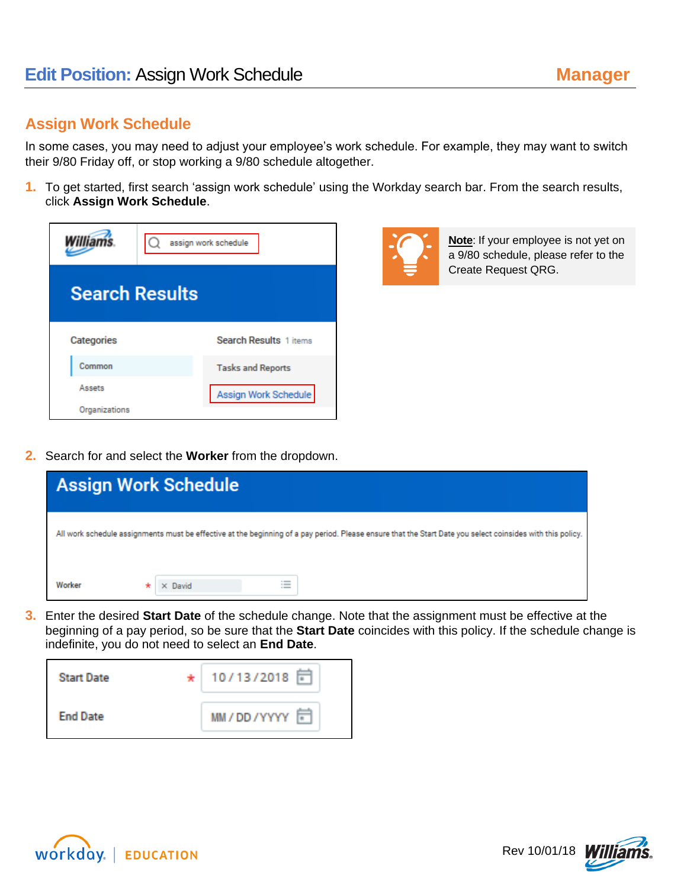## **Assign Work Schedule**

In some cases, you may need to adjust your employee's work schedule. For example, they may want to switch their 9/80 Friday off, or stop working a 9/80 schedule altogether.

**1.** To get started, first search 'assign work schedule' using the Workday search bar. From the search results, click **Assign Work Schedule**.

| <b>Williams</b>       |  | assign work schedule          |  |  |
|-----------------------|--|-------------------------------|--|--|
| <b>Search Results</b> |  |                               |  |  |
| Categories            |  | <b>Search Results 1 items</b> |  |  |
| Common                |  | <b>Tasks and Reports</b>      |  |  |
| Assets                |  | Assign Work Schedule          |  |  |
| Organizations         |  |                               |  |  |



**Note**: If your employee is not yet on a 9/80 schedule, please refer to the Create Request QRG.

**2.** Search for and select the **Worker** from the dropdown.

| <b>Assign Work Schedule</b>                                                                                                                                |                                              |  |  |  |
|------------------------------------------------------------------------------------------------------------------------------------------------------------|----------------------------------------------|--|--|--|
| All work schedule assignments must be effective at the beginning of a pay period. Please ensure that the Start Date you select coinsides with this policy. |                                              |  |  |  |
| Worker                                                                                                                                                     | $\equiv$<br>$\times$ David<br>$\overline{a}$ |  |  |  |

**3.** Enter the desired **Start Date** of the schedule change. Note that the assignment must be effective at the beginning of a pay period, so be sure that the **Start Date** coincides with this policy. If the schedule change is indefinite, you do not need to select an **End Date**.